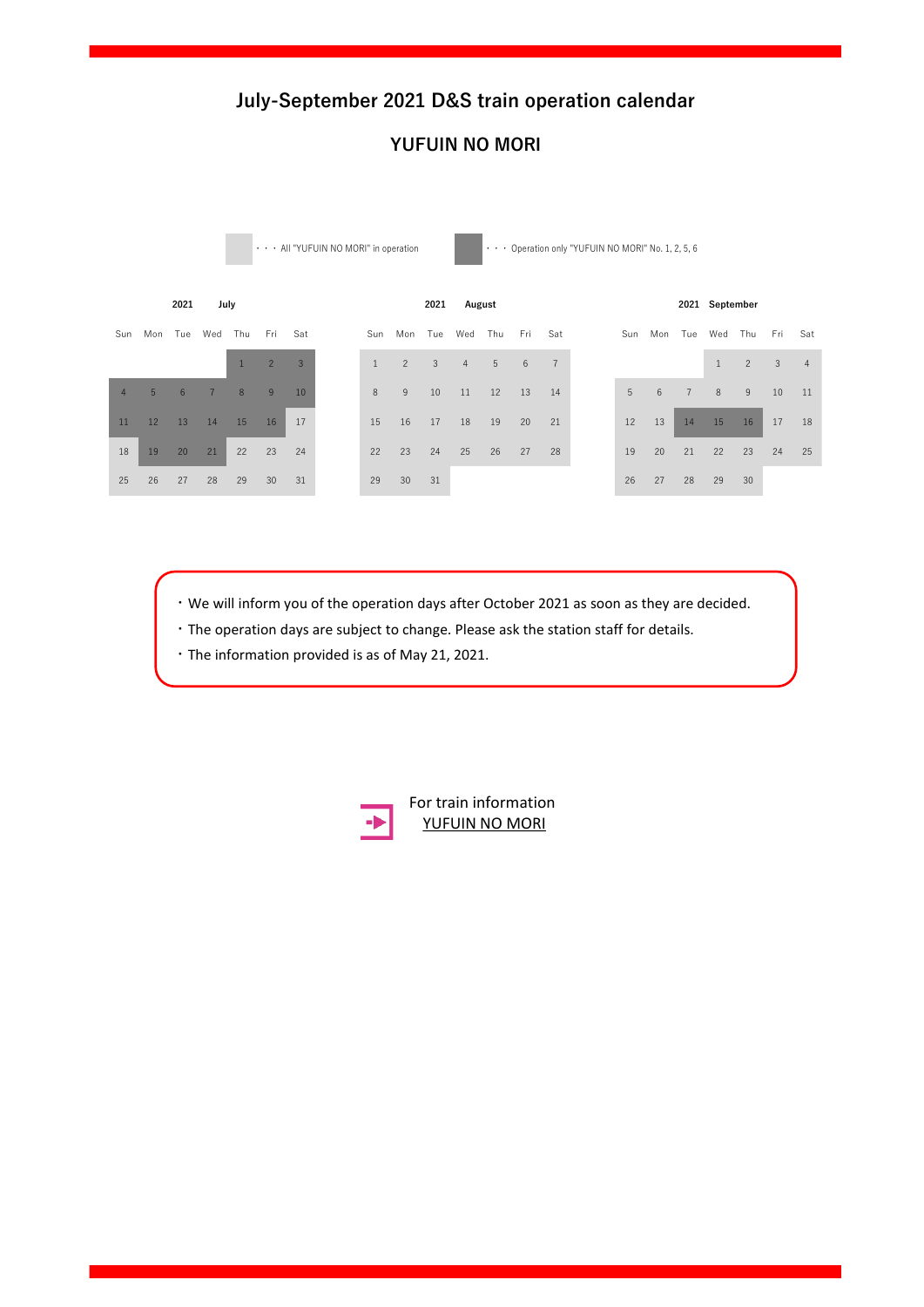### **YUFUIN NO MORI**

• All "YUFUIN NO MORI" in operation <br>
• Operation only "YUFUIN NO MORI" No. 1, 2, 5, 6



 $\cdot$  We will inform you of the operation days after October 2021 as soon as they are decided.

17 18 19 20 21 22 23 21 22 23 24 25 26 27 19 20 21 22 23 24 25

Sun Mon Tue Wed Thu Fri Sat Sun Mon Tue Wed Thu Fri Sat Sun Mon Tue Wed Thu Fri Sat

- $\cdot$  The operation days are subject to change. Please ask the station staff for details.
- 10 11 12 13 14 15 16 14 15 16 17 18 19 20 12 13 14 15 16 17 18 ・The information provided is as of May 21, 2021.



**1222 2022 2022 2023 2023 2023 2023 2023 2023 2023 2023 2023 2023 2023 2023 2023 2023 2023 2023 2023 2023 2023 2023 2023 2023 2023 2023 2023 2023 2023 2023 2023** [YUFUIN NO MORI](https://www.jrkyushu.co.jp/english/train/yufuin_no_mori.html) Sun Mon Tue Wed Tue Wed Tue Wed Tue Wed Tue Wed Tue Wed Tue Wed Tue Wed Tue Wed Tue Wed Tue Wed Tue Wed Tue We<br>Tue Wed Tue Wed Tue Wed Tue Wed Tue Wed Tue Wed Tue Wed Tue Wed Tue Wed Tue Wed Tue Wed Tue Wed Tue Wed Tue We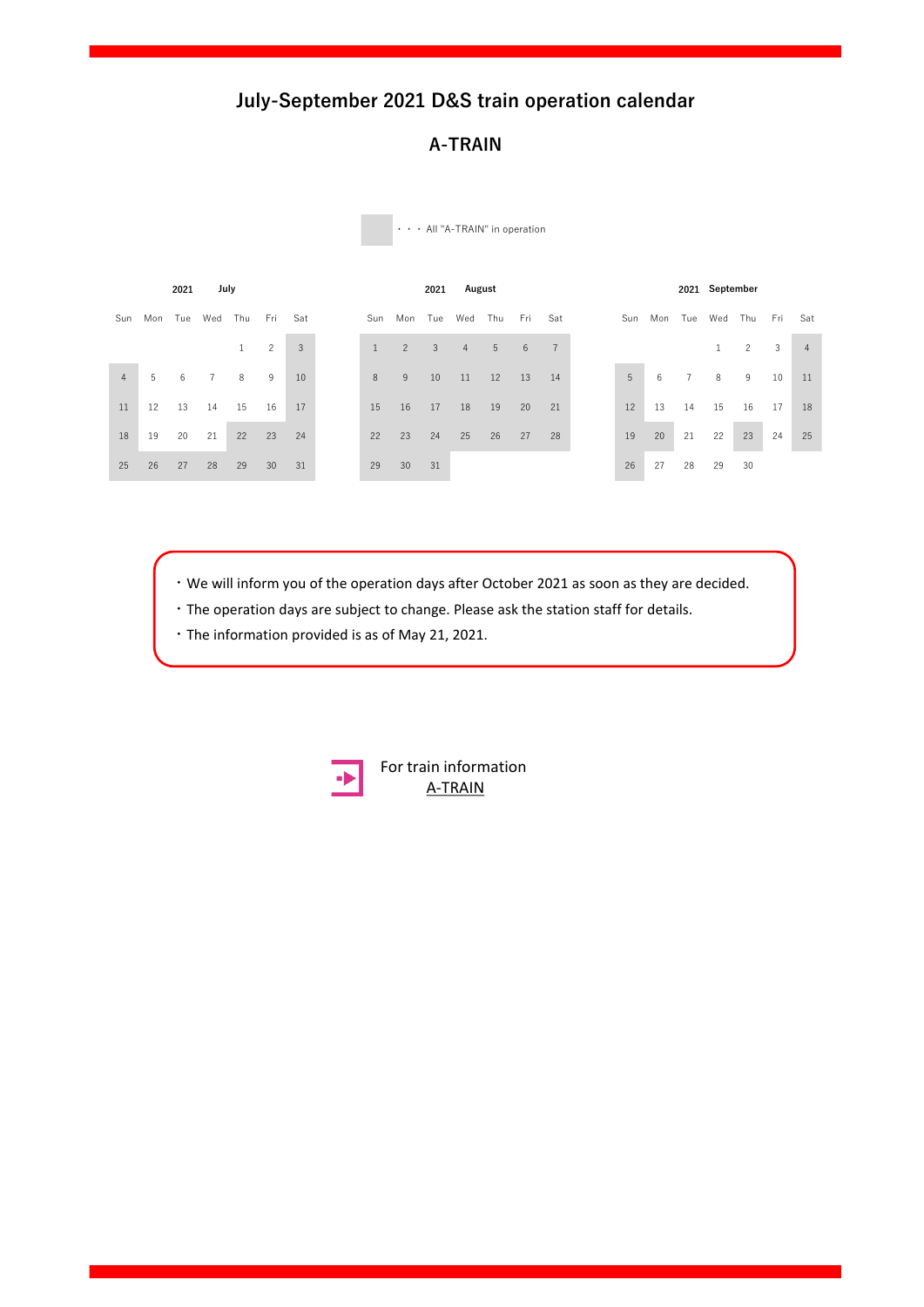### **A-TRAIN**

|                |    | 2021    | July           |     |                |     |
|----------------|----|---------|----------------|-----|----------------|-----|
| Sun            |    | Mon Tue | Wed            | Thu | Fri            | Sat |
|                |    |         |                | 1   | $\overline{c}$ | 3   |
| $\overline{4}$ | 5  | 6       | $\overline{7}$ | 8   | 9              | 10  |
| 11             | 12 | 13      | 14             | 15  | 16             | 17  |
| 18             | 19 | 20      | 21             | 22  | 23             | 24  |
| 25             | 26 | 27      | 28             | 29  | 30             | 31  |

・・・ All "A-TRAIN" in operation

 $\cdot$  We will inform you of the operation days after October 2021 as soon as they are decided.

 $\widetilde{\phantom{M}}$  and  $\widetilde{\phantom{M}}$  and  $\widetilde{\phantom{M}}$  satisfies the Wed Tue Wed Thu  $\widetilde{\phantom{M}}$ 

 $17.7\pm 0.2$  21  $2.2\pm 0.2$  21  $2.2\pm 0.2$  23  $2.2\pm 0.2$  21  $2.2\pm 0.2$  21  $2.2\pm 0.2$ 

 $\cdot$  The operation days are subject to change. Please ask the station staff for details.

10 11 12 13 14 15 16 14 15 16 17 18 19 20 12 13 14 15 16 17 18 ・The information provided is as of May 21, 2021.



**2022 2022 January 2018 19 A-TRAIN** [For train information](https://www.jrkyushu.co.jp/english/train/atrain.html)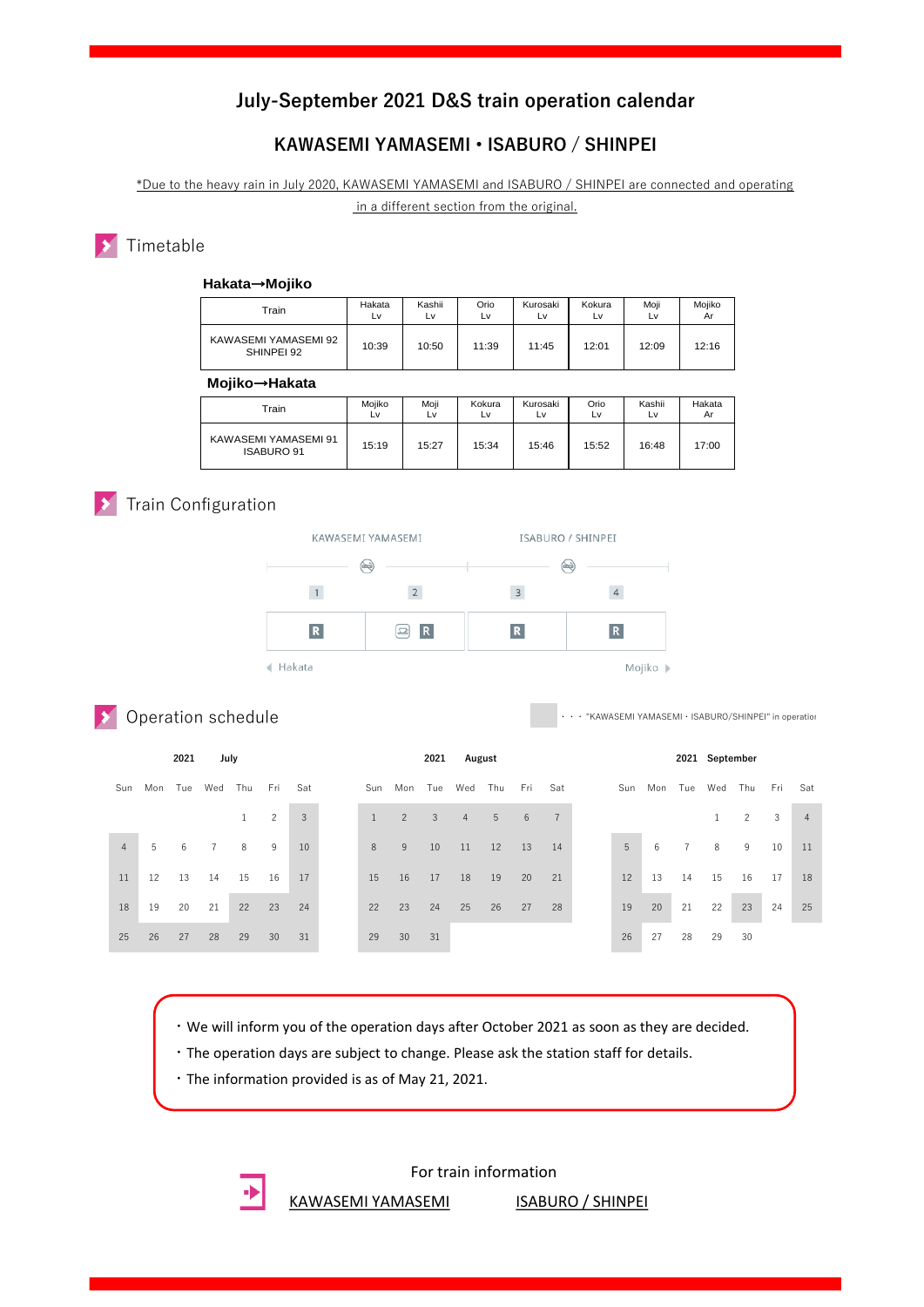### **KAWASEMI YAMASEMI • ISABURO / SHINPEI**

\*Due to the heavy rain in July 2020, KAWASEMI YAMASEMI and ISABURO / SHINPEI are connected and operating in a different section from the original.

### Timetable

| Train                              | Hakata<br>Lv | Kashii<br>Lv | Orio<br>L٧ | Kurosaki<br>Lv | Kokura<br>Lv | Moii<br>Lv | Mojiko<br>Ar |
|------------------------------------|--------------|--------------|------------|----------------|--------------|------------|--------------|
| KAWASEMI YAMASEMI 92<br>SHINPEI 92 | 10:39        | 10:50        | 11:39      | 11:45          | 12:01        | 12:09      | 12:16        |
| Moiiko→Hakata                      |              |              |            |                |              |            |              |

| Train                                     | Mojiko<br>Lv | Moji<br>L٧ | Kokura<br>Lv | Kurosaki<br>L٧ | Orio<br>Lv | Kashii<br>Lv | Hakata<br>Ar |
|-------------------------------------------|--------------|------------|--------------|----------------|------------|--------------|--------------|
| KAWASEMI YAMASEMI 91<br><b>ISABURO 91</b> | 15:19        | 15:27      | 15:34        | 15:46          | 15:52      | 16:48        | 17:00        |

### **X** Train Configuration



### **>** Operation schedule

| Kokura<br>Mojiko<br>Hakata<br>Kashii<br>Orio<br>Kurosaki<br>Moji<br>Train<br>Lv<br>Lv<br>Lv<br>Lv<br>Lv<br>Ar<br>Lv<br>KAWASEMI YAMASEMI 92<br>10:39<br>10:50<br>11:39<br>11:45<br>12:01<br>12:09<br>12:16<br>SHINPEI 92<br>Mojiko→Hakata<br>Mojiko<br>Moji<br>Kokura<br>Kurosaki<br>Orio<br>Kashii<br>Hakata<br>Train<br>Lv<br>Lv<br>Lv<br>Lv<br>Lv<br>Lv<br>Ar<br>KAWASEMI YAMASEMI 91<br>15:19<br>15:27<br>15:34<br>15:52<br>16:48<br>17:00<br>15:46<br><b>ISABURO 91</b><br>Train Configuration<br>KAWASEMI YAMASEMI<br>ISABURO / SHINPEI<br>$\circledast$<br>$\circledast$<br>$\,$ 1 $\,$<br>$\overline{2}$<br>$\ensuremath{\mathsf{3}}$<br>$\ensuremath{\mathsf{4}}$<br>${\bf R}$<br>$\mathbf R$<br>$\mathbf R$<br>$\mathbf R$<br>e<br>← Hakata<br>Mojiko  ><br>Operation schedule<br>July<br>2021<br>2021<br>August<br>Fri<br>Sat<br>Fri<br>Mon<br>Tue<br>Wed<br>Thu<br>Mon<br>Tue<br>Wed<br>Thu<br>Sat<br>Sun<br>Tue<br>Wed<br>Sun<br>Sun<br>Mon<br>$\overline{c}$<br>$\mathbf{1}$<br>$\overline{c}$<br>$\sqrt{3}$<br>$\mathbf{1}$<br>$\sqrt{3}$<br>$\sqrt{4}$<br>5<br>6<br>$\overline{7}$<br>$\mathbf{1}$<br>$\overline{4}$<br>5<br>6<br>$\overline{7}$<br>8<br>9<br>$\,$ 8 $\,$<br>$9\,$<br>5<br>6<br>7<br>8<br>10<br>10<br>11<br>12<br>13<br>14<br>15<br>13<br>11<br>12<br>13<br>14<br>16<br>17<br>15<br>16<br>17<br>18<br>19<br>20<br>21<br>12<br>14<br>15 | · · · "KAWASEMI YAMASEMI · ISABURO/SHINPEI" in operation<br>2021 September<br>Fri<br>Thu<br>Sat<br>$\overline{c}$<br>3<br>4<br>9<br>10<br>11<br>16<br>17<br>18 | 22<br>25<br>20<br>21<br>22<br>18<br>19<br>20<br>21<br>22<br>23<br>24<br>23<br>24<br>26<br>27<br>28<br>19<br>23<br>24<br>25<br>27<br>29<br>30<br>29<br>27<br>28<br>29<br>30<br>26<br>28<br>31<br>30<br>31<br>26 |  |  |  |  |  |  |  |
|------------------------------------------------------------------------------------------------------------------------------------------------------------------------------------------------------------------------------------------------------------------------------------------------------------------------------------------------------------------------------------------------------------------------------------------------------------------------------------------------------------------------------------------------------------------------------------------------------------------------------------------------------------------------------------------------------------------------------------------------------------------------------------------------------------------------------------------------------------------------------------------------------------------------------------------------------------------------------------------------------------------------------------------------------------------------------------------------------------------------------------------------------------------------------------------------------------------------------------------------------------------------------------------------------------------------------------------------------------------------|----------------------------------------------------------------------------------------------------------------------------------------------------------------|----------------------------------------------------------------------------------------------------------------------------------------------------------------------------------------------------------------|--|--|--|--|--|--|--|
|                                                                                                                                                                                                                                                                                                                                                                                                                                                                                                                                                                                                                                                                                                                                                                                                                                                                                                                                                                                                                                                                                                                                                                                                                                                                                                                                                                        |                                                                                                                                                                |                                                                                                                                                                                                                |  |  |  |  |  |  |  |
|                                                                                                                                                                                                                                                                                                                                                                                                                                                                                                                                                                                                                                                                                                                                                                                                                                                                                                                                                                                                                                                                                                                                                                                                                                                                                                                                                                        |                                                                                                                                                                |                                                                                                                                                                                                                |  |  |  |  |  |  |  |
|                                                                                                                                                                                                                                                                                                                                                                                                                                                                                                                                                                                                                                                                                                                                                                                                                                                                                                                                                                                                                                                                                                                                                                                                                                                                                                                                                                        |                                                                                                                                                                |                                                                                                                                                                                                                |  |  |  |  |  |  |  |
|                                                                                                                                                                                                                                                                                                                                                                                                                                                                                                                                                                                                                                                                                                                                                                                                                                                                                                                                                                                                                                                                                                                                                                                                                                                                                                                                                                        |                                                                                                                                                                |                                                                                                                                                                                                                |  |  |  |  |  |  |  |
|                                                                                                                                                                                                                                                                                                                                                                                                                                                                                                                                                                                                                                                                                                                                                                                                                                                                                                                                                                                                                                                                                                                                                                                                                                                                                                                                                                        |                                                                                                                                                                |                                                                                                                                                                                                                |  |  |  |  |  |  |  |
|                                                                                                                                                                                                                                                                                                                                                                                                                                                                                                                                                                                                                                                                                                                                                                                                                                                                                                                                                                                                                                                                                                                                                                                                                                                                                                                                                                        |                                                                                                                                                                |                                                                                                                                                                                                                |  |  |  |  |  |  |  |
|                                                                                                                                                                                                                                                                                                                                                                                                                                                                                                                                                                                                                                                                                                                                                                                                                                                                                                                                                                                                                                                                                                                                                                                                                                                                                                                                                                        |                                                                                                                                                                |                                                                                                                                                                                                                |  |  |  |  |  |  |  |
|                                                                                                                                                                                                                                                                                                                                                                                                                                                                                                                                                                                                                                                                                                                                                                                                                                                                                                                                                                                                                                                                                                                                                                                                                                                                                                                                                                        |                                                                                                                                                                |                                                                                                                                                                                                                |  |  |  |  |  |  |  |
|                                                                                                                                                                                                                                                                                                                                                                                                                                                                                                                                                                                                                                                                                                                                                                                                                                                                                                                                                                                                                                                                                                                                                                                                                                                                                                                                                                        |                                                                                                                                                                |                                                                                                                                                                                                                |  |  |  |  |  |  |  |
|                                                                                                                                                                                                                                                                                                                                                                                                                                                                                                                                                                                                                                                                                                                                                                                                                                                                                                                                                                                                                                                                                                                                                                                                                                                                                                                                                                        |                                                                                                                                                                |                                                                                                                                                                                                                |  |  |  |  |  |  |  |
|                                                                                                                                                                                                                                                                                                                                                                                                                                                                                                                                                                                                                                                                                                                                                                                                                                                                                                                                                                                                                                                                                                                                                                                                                                                                                                                                                                        |                                                                                                                                                                |                                                                                                                                                                                                                |  |  |  |  |  |  |  |
|                                                                                                                                                                                                                                                                                                                                                                                                                                                                                                                                                                                                                                                                                                                                                                                                                                                                                                                                                                                                                                                                                                                                                                                                                                                                                                                                                                        |                                                                                                                                                                |                                                                                                                                                                                                                |  |  |  |  |  |  |  |
|                                                                                                                                                                                                                                                                                                                                                                                                                                                                                                                                                                                                                                                                                                                                                                                                                                                                                                                                                                                                                                                                                                                                                                                                                                                                                                                                                                        |                                                                                                                                                                |                                                                                                                                                                                                                |  |  |  |  |  |  |  |
|                                                                                                                                                                                                                                                                                                                                                                                                                                                                                                                                                                                                                                                                                                                                                                                                                                                                                                                                                                                                                                                                                                                                                                                                                                                                                                                                                                        |                                                                                                                                                                |                                                                                                                                                                                                                |  |  |  |  |  |  |  |
|                                                                                                                                                                                                                                                                                                                                                                                                                                                                                                                                                                                                                                                                                                                                                                                                                                                                                                                                                                                                                                                                                                                                                                                                                                                                                                                                                                        |                                                                                                                                                                |                                                                                                                                                                                                                |  |  |  |  |  |  |  |
|                                                                                                                                                                                                                                                                                                                                                                                                                                                                                                                                                                                                                                                                                                                                                                                                                                                                                                                                                                                                                                                                                                                                                                                                                                                                                                                                                                        |                                                                                                                                                                |                                                                                                                                                                                                                |  |  |  |  |  |  |  |
|                                                                                                                                                                                                                                                                                                                                                                                                                                                                                                                                                                                                                                                                                                                                                                                                                                                                                                                                                                                                                                                                                                                                                                                                                                                                                                                                                                        |                                                                                                                                                                |                                                                                                                                                                                                                |  |  |  |  |  |  |  |
|                                                                                                                                                                                                                                                                                                                                                                                                                                                                                                                                                                                                                                                                                                                                                                                                                                                                                                                                                                                                                                                                                                                                                                                                                                                                                                                                                                        | 25                                                                                                                                                             |                                                                                                                                                                                                                |  |  |  |  |  |  |  |
|                                                                                                                                                                                                                                                                                                                                                                                                                                                                                                                                                                                                                                                                                                                                                                                                                                                                                                                                                                                                                                                                                                                                                                                                                                                                                                                                                                        |                                                                                                                                                                |                                                                                                                                                                                                                |  |  |  |  |  |  |  |
| · We will inform you of the operation days after October 2021 as soon as they are decided.                                                                                                                                                                                                                                                                                                                                                                                                                                                                                                                                                                                                                                                                                                                                                                                                                                                                                                                                                                                                                                                                                                                                                                                                                                                                             |                                                                                                                                                                |                                                                                                                                                                                                                |  |  |  |  |  |  |  |
| · The operation days are subject to change. Please ask the station staff for details.                                                                                                                                                                                                                                                                                                                                                                                                                                                                                                                                                                                                                                                                                                                                                                                                                                                                                                                                                                                                                                                                                                                                                                                                                                                                                  |                                                                                                                                                                |                                                                                                                                                                                                                |  |  |  |  |  |  |  |
| · The information provided is as of May 21, 2021.                                                                                                                                                                                                                                                                                                                                                                                                                                                                                                                                                                                                                                                                                                                                                                                                                                                                                                                                                                                                                                                                                                                                                                                                                                                                                                                      |                                                                                                                                                                |                                                                                                                                                                                                                |  |  |  |  |  |  |  |
|                                                                                                                                                                                                                                                                                                                                                                                                                                                                                                                                                                                                                                                                                                                                                                                                                                                                                                                                                                                                                                                                                                                                                                                                                                                                                                                                                                        |                                                                                                                                                                |                                                                                                                                                                                                                |  |  |  |  |  |  |  |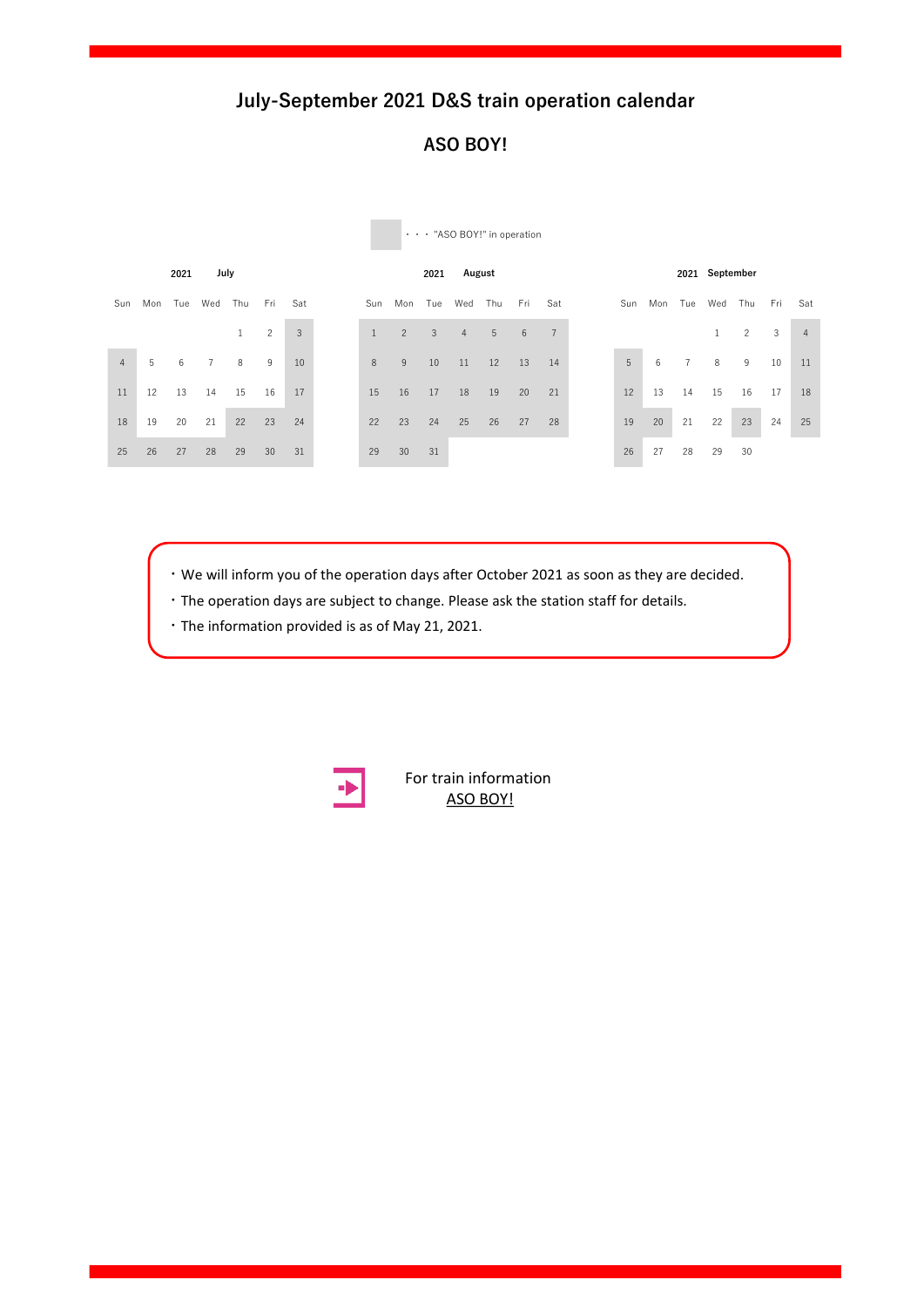### **ASO BOY!**

|                |     | 2021 | July           |              |                |     |              |                | 2021 | August         |     |     |                |     |     |     | 2021 September |                |     |                |
|----------------|-----|------|----------------|--------------|----------------|-----|--------------|----------------|------|----------------|-----|-----|----------------|-----|-----|-----|----------------|----------------|-----|----------------|
| Sun            | Mon | Tue  | Wed            | Thu          | Fri            | Sat | Sun          | Mon            | Tue  | Wed            | Thu | Fri | Sat            | Sun | Mon | Tue | Wed            | Thu            | Fri | Sat            |
|                |     |      |                | $\mathbf{1}$ | $\overline{c}$ | 3   | $\mathbf{1}$ | $\overline{2}$ | 3    | $\overline{4}$ | 5   | 6   | $\overline{7}$ |     |     |     |                | $\overline{c}$ | 3   | $\overline{4}$ |
| $\overline{4}$ | 5   | 6    | $\overline{7}$ | 8            | 9              | 10  | 8            | 9              | 10   | 11             | 12  | 13  | 14             | 5   | 6   |     | 8              | 9              | 10  | 11             |
| 11             | 12  | 13   | 14             | 15           | 16             | 17  | 15           | 16             | 17   | 18             | 19  | 20  | 21             | 12  | 13  | 14  | 15             | 16             | 17  | 18             |
| 18             | 19  | 20   | 21             | 22           | 23             | 24  | 22           | 23             | 24   | 25             | 26  | 27  | 28             | 19  | 20  | 21  | 22             | 23             | 24  | 25             |
| 25             | 26  | 27   | 28             | 29           | 30             | 31  | 29           | 30             | 31   |                |     |     |                | 26  | 27  | 28  | 29             | 30             |     |                |

・・・ "ASO BOY!" in operation

 $\cdot$  We will inform you of the operation days after October 2021 as soon as they are decided.

Sun Mon Tue Wed Thu Fri Sat Sun Mon Tue Wed Thu Fri Sat Sun Mon Tue Wed Thu Fri Sat

17 18 19 20 21 22 23 21 22 23 24 25 26 27 19 20 21 22 23 24 25

- **1** The operation days are subject to change. Please ask the station staff for details.
- 10 11 12 13 14 15 16 14 15 16 17 18 19 20 12 13 14 15 16 17 18 ・The information provided is as of May 21, 2021.



**For train [information](https://www.jrkyushu.co.jp/english/train/asoboy.html)** ASO BOY! Sun Mon Tue Wed Thu Fri Sat Sun Mon Tue Wed Thu Fri Sat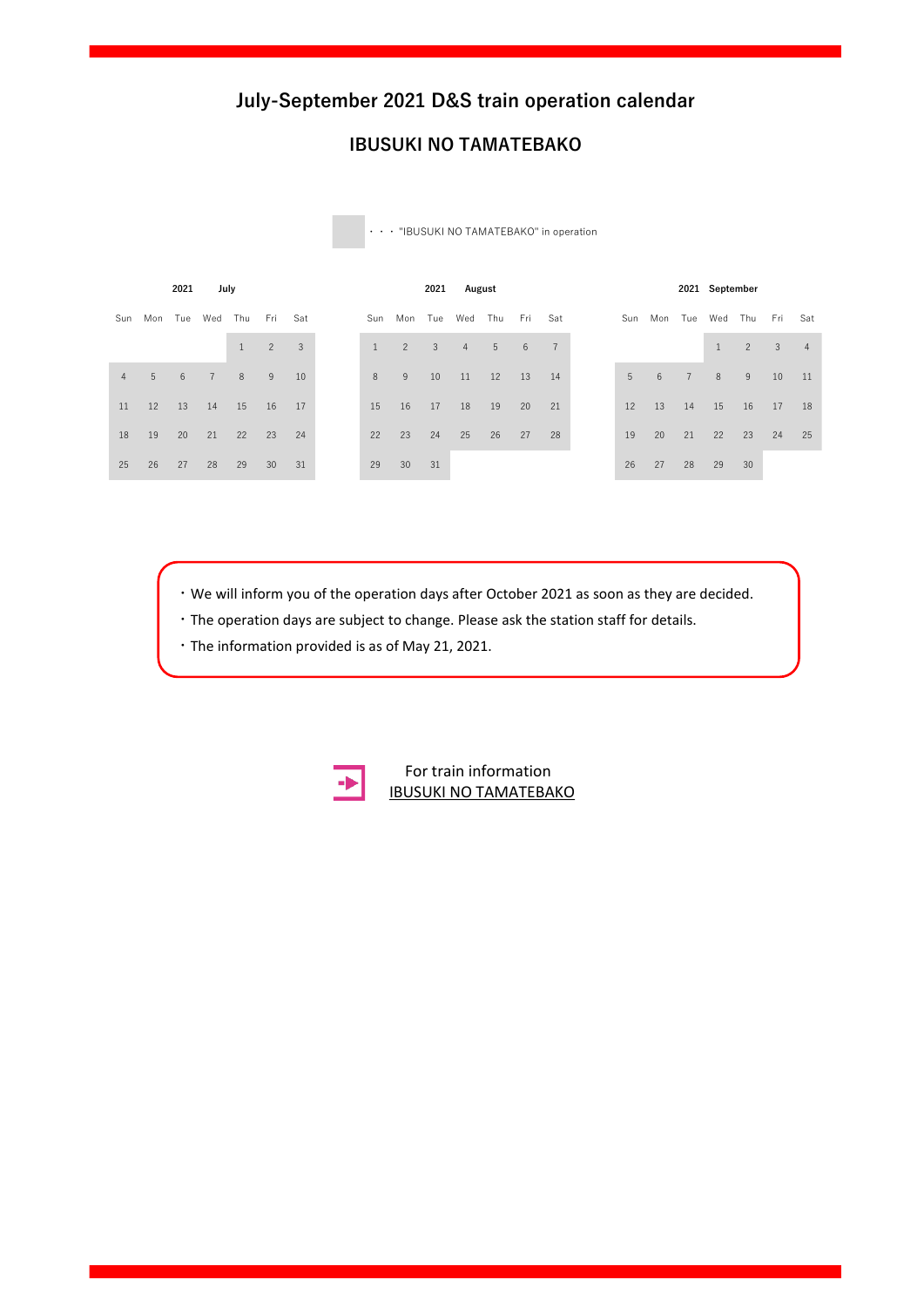### **IBUSUKI NO TAMATEBAKO**

| Mon Tue Wed Thu<br>Fri<br>Mon Tue<br>Wed<br>Thu<br>Mon Tue Wed Thu Fri<br>Fri<br>Sat<br>Sat<br>Sun<br>Sun<br>Sun<br>$\overline{c}$<br>3<br>$\overline{7}$<br>$\overline{2}$<br>$\overline{3}$<br>$\mathbf{1}$<br>5 <sup>5</sup><br>6<br>$\overline{4}$<br>$\mathbf{1}$ | $\overline{2}$ | Sat<br>$\mathbf{3}$<br>$\overline{4}$ |
|------------------------------------------------------------------------------------------------------------------------------------------------------------------------------------------------------------------------------------------------------------------------|----------------|---------------------------------------|
|                                                                                                                                                                                                                                                                        |                |                                       |
|                                                                                                                                                                                                                                                                        |                |                                       |
| 5<br>8<br>5<br>8<br>8<br>9<br>10<br>11<br>6<br>$\overline{7}$<br>$6\overline{6}$<br>$\overline{7}$<br>9<br>10<br>12<br>13<br>14<br>$\overline{4}$                                                                                                                      | 9              | 10<br>11                              |
| 16<br>12<br>13<br>15<br>15<br>17<br>18<br>19<br>12<br>13<br>15<br>14<br>16<br>21<br>14<br>17<br>20<br>11                                                                                                                                                               | 17<br>16       | 18                                    |
| 23<br>24<br>25<br>26<br>20<br>19<br>20<br>22<br>27<br>28<br>19<br>21<br>18<br>21<br>22<br>23<br>24<br>22                                                                                                                                                               | 23             | 24<br>25                              |
| 30<br>26<br>27<br>27<br>25<br>28<br>29<br>30<br>28<br>29<br>29<br>31<br>26<br>31                                                                                                                                                                                       | 30             |                                       |

・・・ "IBUSUKI NO TAMATEBAKO" in operation

 $\cdot$  We will inform you of the operation days after October 2021 as soon as they are decided.

17 18 19 20 21 22 23 21 22 23 24 25 26 27 19 20 21 22 23 24 25

- **1**  $\cdot$  The operation days are subject to change. Please ask the station staff for details.
- 10 11 12 13 14 15 16 14 15 16 17 18 19 20 12 13 14 15 16 17 18 ・The information provided is as of May 21, 2021.



**ZEPRESISTED AND TAMATEBAKO** For train information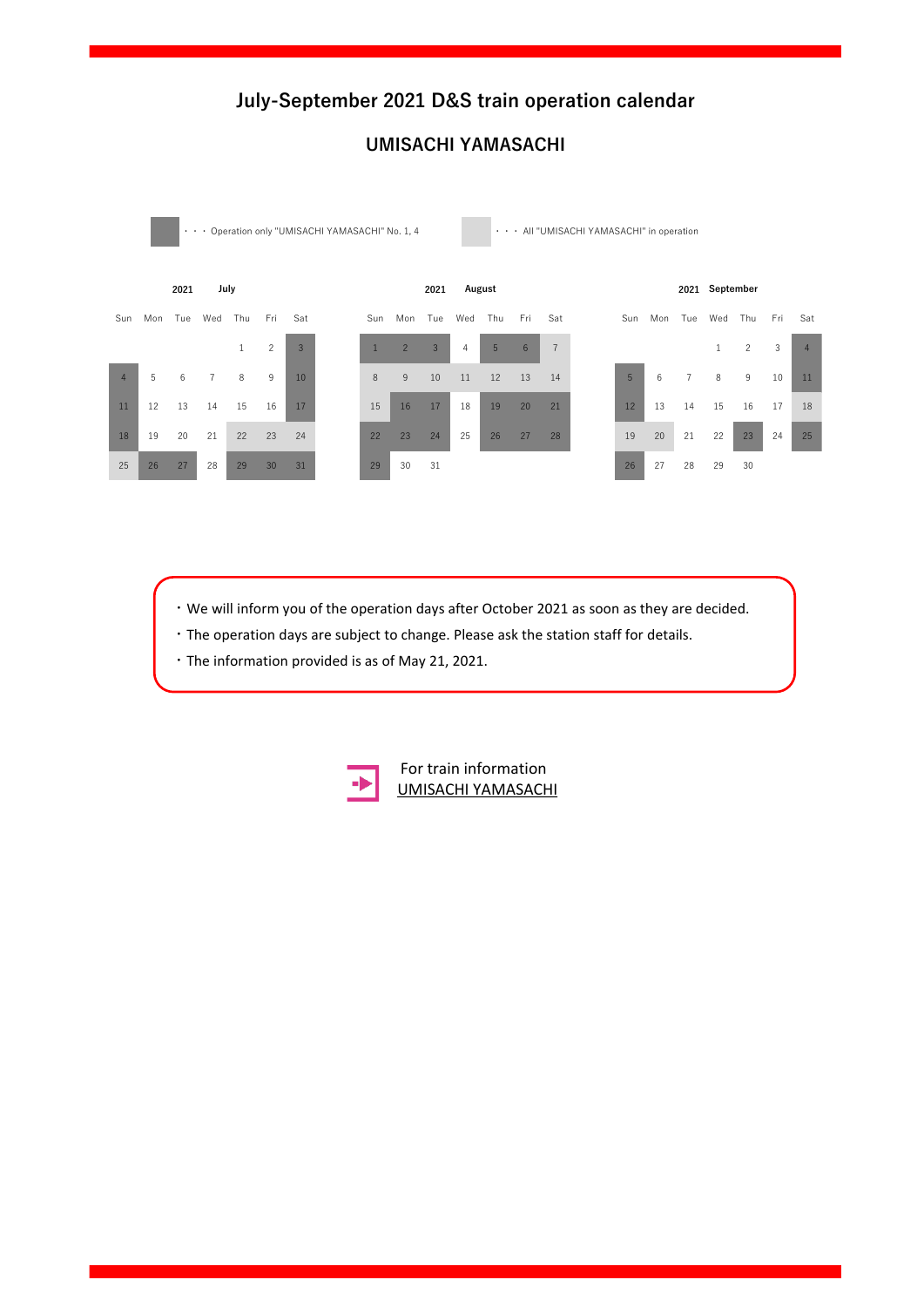

### **UMISACHI YAMASACHI**

- $\sqrt{26}$  28  $\sqrt{28}$  29  $\sqrt{28}$  31  $\sqrt{28}$  31  $\sqrt{28}$  32  $\sqrt{28}$  32  $\sqrt{28}$  32  $\sqrt{28}$  32  $\sqrt{28}$  32  $\sqrt{28}$  32  $\sqrt{28}$  32  $\sqrt{28}$  32  $\sqrt{28}$  32  $\sqrt{28}$  32  $\sqrt{28}$  32  $\sqrt{28}$  32  $\sqrt{28}$  32  $\sqrt{28}$  32  $\sqrt{2$  $\cdot$  We will inform you of the operation days after October 2021 as soon as they are decided.
- $\cdot$  The operation days are subject to change. Please ask the station staff for details.
- **17 18 18 19 20 21 23 24 27 27 27 27 27 27 27 27 27 27 27 26 27 27 27 27 27 27 28 25 27 28 25 26 27 27 28 25 26 26 27 28 25 26 26 27 28 29 29 20 21 20 21 20 21 20 21 20 21 20 21 20 21 20 21 20 21 20 21 20 21 20 21 20 21 20**



**2022 2022 January February** [UMISACHI YAMASACHI](https://www.jrkyushu.co.jp/english/train/umisachiyamasachi.html) For train information